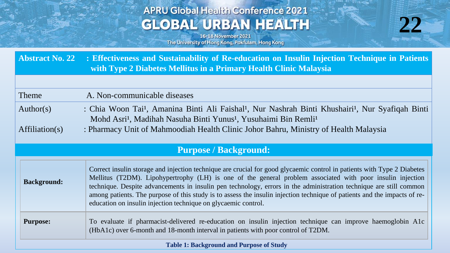# **APRU Global Health Conference 2021 GLOBAL URBAN HEALTH**



16-18 November 2021 The University of Hong Kong, Pokfulam, Hong Kong

**Abstract No. 22 : Effectiveness and Sustainability of Re-education on Insulin Injection Technique in Patients with Type 2 Diabetes Mellitus in a Primary Health Clinic Malaysia**

| Theme     | A. Non-communicable diseases                                                                                                          |
|-----------|---------------------------------------------------------------------------------------------------------------------------------------|
| Author(s) | : Chia Woon Tai <sup>1</sup> , Amanina Binti Ali Faishal <sup>1</sup> , Nur Nashrah Binti Khushairi <sup>1</sup> , Nur Syafiqah Binti |
|           | Mohd Asri <sup>1</sup> , Madihah Nasuha Binti Yunus <sup>1</sup> , Yusuhaimi Bin Remli <sup>1</sup>                                   |

Affiliation(s) : Pharmacy Unit of Mahmoodiah Health Clinic Johor Bahru, Ministry of Health Malaysia

## **Purpose / Background:**

| <b>Background:</b>                              | Correct insulin storage and injection technique are crucial for good glycaemic control in patients with Type 2 Diabetes<br>Mellitus (T2DM). Lipohypertrophy (LH) is one of the general problem associated with poor insulin injection<br>technique. Despite advancements in insulin pen technology, errors in the administration technique are still common<br>among patients. The purpose of this study is to assess the insulin injection technique of patients and the impacts of re-<br>education on insulin injection technique on glycaemic control. |  |
|-------------------------------------------------|------------------------------------------------------------------------------------------------------------------------------------------------------------------------------------------------------------------------------------------------------------------------------------------------------------------------------------------------------------------------------------------------------------------------------------------------------------------------------------------------------------------------------------------------------------|--|
| <b>Purpose:</b>                                 | To evaluate if pharmacist-delivered re-education on insulin injection technique can improve haemoglobin A1c<br>(HbA1c) over 6-month and 18-month interval in patients with poor control of T2DM.                                                                                                                                                                                                                                                                                                                                                           |  |
| <b>Table 1: Background and Purpose of Study</b> |                                                                                                                                                                                                                                                                                                                                                                                                                                                                                                                                                            |  |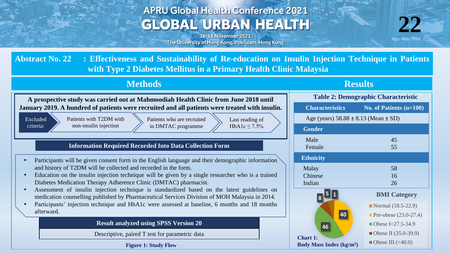# **APRU Global Health Conference 2021 GLOBAL URBAN HEALTH**



16-18 November 2021 The University of Hong Kong, Pokfulam, Hong Kong

**Abstract No. 22 : Effectiveness and Sustainability of Re-education on Insulin Injection Technique in Patients with Type 2 Diabetes Mellitus in a Primary Health Clinic Malaysia**

### **Methods Results**

| A prospective study was carried out at Mahmoodiah Health Clinic from June 2018 until                                                                                 | <b>Table 2: Demographic Characteristic</b>   |                         |
|----------------------------------------------------------------------------------------------------------------------------------------------------------------------|----------------------------------------------|-------------------------|
| January 2019. A hundred of patients were recruited and all patients were treated with insulin.                                                                       | <b>Characteristics</b>                       | No. of Patients (n=10   |
| Patients with T2DM with<br>Excluded<br>Patients who are recruited<br>Last reading of                                                                                 | Age (years) $58.88 \pm 8.13$ (Mean $\pm$ SD) |                         |
| non-insulin injection<br>criteria:<br>in DMTAC programme<br>HbA1c $\leq$ 7.5%                                                                                        | <b>Gender</b>                                |                         |
| <b>Information Required Recorded Into Data Collection Form</b>                                                                                                       | Male<br>Female                               | 45<br>55                |
| Participants will be given consent form in the English language and their demographic information<br>$\blacksquare$                                                  | <b>Ethnicity</b>                             |                         |
| and history of T2DM will be collected and recorded in the form.                                                                                                      | Malay                                        | 58                      |
| Education on the insulin injection technique will be given by a single researcher who is a trained<br>$\blacksquare$                                                 | Chinese                                      | 16                      |
| Diabetes Medication Therapy Adherence Clinic (DMTAC) pharmacist.<br>Assessment of insulin injection technique is standardized based on the latest guidelines on<br>٠ | Indian                                       | 26                      |
| medication counselling published by Pharmaceutical Services Division of MOH Malaysia in 2014.                                                                        | 8                                            | <b>BMI</b> Category     |
| Participants' injection technique and HbA1c were assessed at baseline, 6 months and 18 months<br>$\blacksquare$                                                      |                                              | Normal $(18.5-22.9)$    |
| afterward.                                                                                                                                                           | 40                                           | Pre-obese $(23.0-27.4)$ |
| <b>Result analyzed using SPSS Version 20</b>                                                                                                                         | 46                                           | Obese I=27.5-34.9       |
| Descriptive, paired T test for parametric data                                                                                                                       | <b>Chart 1:</b>                              | ■ Obese II (35.0-39.9)  |
| <b>Figure 1: Study Flow</b>                                                                                                                                          | <b>Body Mass Index (kg/m<sup>2</sup>)</b>    | Obese III $(>40.0)$     |

| <b>Characteristics</b>                                   | No. of Patients $(n=100)$                                                                                                    |  |  |  |
|----------------------------------------------------------|------------------------------------------------------------------------------------------------------------------------------|--|--|--|
| Age (years) $58.88 \pm 8.13$ (Mean $\pm$ SD)             |                                                                                                                              |  |  |  |
| <b>Fender</b>                                            |                                                                                                                              |  |  |  |
| Male<br>Female                                           | 45<br>55                                                                                                                     |  |  |  |
| thnicity                                                 |                                                                                                                              |  |  |  |
| Aalay<br>Chinese<br>ndian                                | 58<br>16<br>26                                                                                                               |  |  |  |
| 8                                                        | <b>BMI</b> Category                                                                                                          |  |  |  |
| 40<br>46<br>art 1:<br>ly Mass Index (kg/m <sup>2</sup> ) | Normal (18.5-22.9)<br><b>Pre-obese</b> $(23.0-27.4)$<br>Obese I=27.5-34.9<br>Obese II $(35.0-39.9)$<br>Obese III $($ > 40.0) |  |  |  |